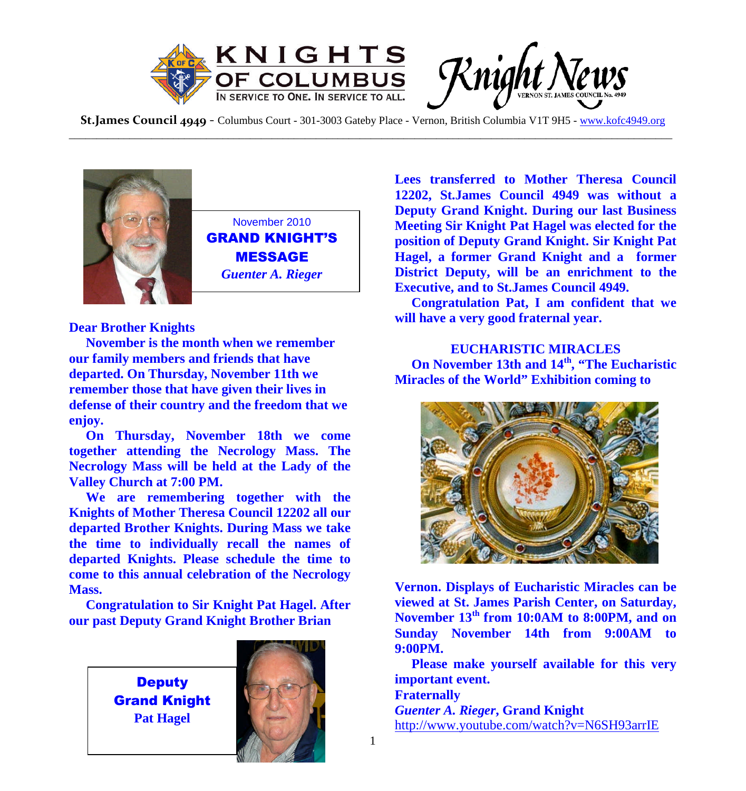

**St.James Council 4949** - Columbus Court - 301-3003 Gateby Place - Vernon, British Columbia V1T 9H5 - www.kofc4949.org \_\_\_\_\_\_\_\_\_\_\_\_\_\_\_\_\_\_\_\_\_\_\_\_\_\_\_\_\_\_\_\_\_\_\_\_\_\_\_\_\_\_\_\_\_\_\_\_\_\_\_\_\_\_\_\_\_\_\_\_\_\_\_\_\_\_\_\_\_\_\_\_\_\_\_\_\_\_\_\_\_\_\_\_\_\_\_\_\_\_\_\_\_\_\_\_\_\_\_\_\_\_\_\_\_\_\_\_\_\_



November 2010 GRAND KNIGHT'S MESSAGE *Guenter A. Rieger*

**Dear Brother Knights**

**November is the month when we remember our family members and friends that have departed. On Thursday, November 11th we remember those that have given their lives in defense of their country and the freedom that we enjoy.**

**On Thursday, November 18th we come together attending the Necrology Mass. The Necrology Mass will be held at the Lady of the Valley Church at 7:00 PM.**

**We are remembering together with the Knights of Mother Theresa Council 12202 all our departed Brother Knights. During Mass we take the time to individually recall the names of departed Knights. Please schedule the time to come to this annual celebration of the Necrology Mass.**

**Congratulation to Sir Knight Pat Hagel. After our past Deputy Grand Knight Brother Brian**

> **Deputy** Grand Knight **Pat Hagel**



**Lees transferred to Mother Theresa Council 12202, St.James Council 4949 was without a Deputy Grand Knight. During our last Business Meeting Sir Knight Pat Hagel was elected for the position of Deputy Grand Knight. Sir Knight Pat Hagel, a former Grand Knight and a former District Deputy, will be an enrichment to the Executive, and to St.James Council 4949.**

**Congratulation Pat, I am confident that we will have a very good fraternal year.**

## **EUCHARISTIC MIRACLES On November 13th and 14th, "The Eucharistic Miracles of the World" Exhibition coming to**



**Vernon. Displays of Eucharistic Miracles can be viewed at St. James Parish Center, on Saturday, November 13th from 10:0AM to 8:00PM, and on Sunday November 14th from 9:00AM to 9:00PM.**

**Please make yourself available for this very important event. Fraternally** *Guenter A. Rieger***, Grand Knight** http://www.youtube.com/watch?v=N6SH93arrIE